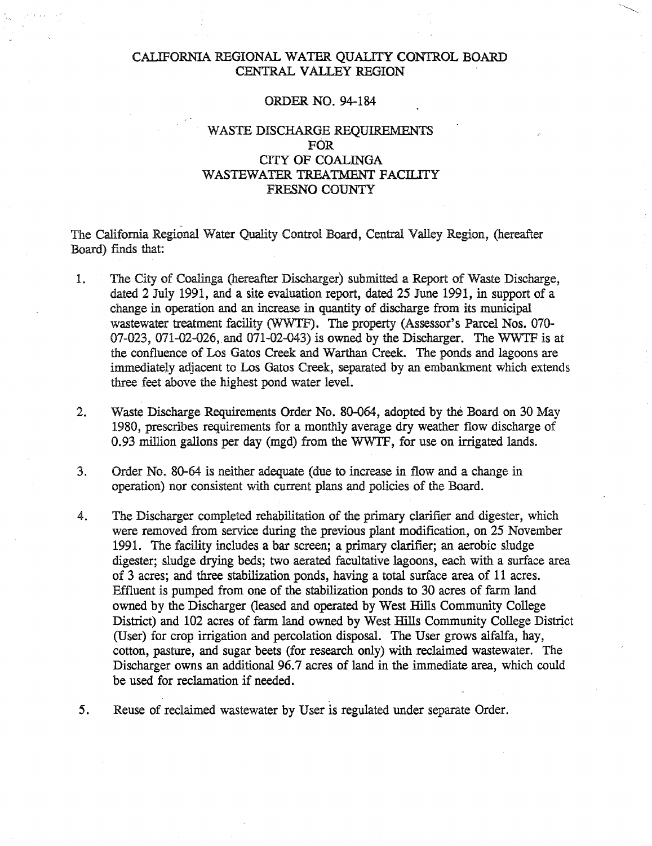## CALIFORNIA REGIONAL WATER QUALITY CONTROL BOARD CENTRAL VALLEY REGION

### ORDER NO. 94-184

## WASTE DISCHARGE REQUIREMENTS FOR CITY OF COALINGA WASTEWATER TREATMENT FACILITY FRESNO COUNTY

The California Regional Water Quality Control Board, Central Valley Region, (hereafter Board) finds that:

- 1. The City of Coalinga (hereafter Discharger) submitted a Report of Waste Discharge, dated 2 July 1991, and a site evaluation report, dated 25 June 1991, in support of a change in operation and an increase in quantity of discharge from its municipal wastewater treatment facility (WWTF). The property (Assessor's Parcel Nos. 070- 07-023, 071-02-026, and 071-02-043) is owned by the Discharger. The WWTF is at the confluence of Los Gatos Creek and Warthan Creek. The ponds and lagoons are immediately adjacent to Los Gatos Creek, separated by an embankment which extends three feet above the highest pond water level.
- 2. Waste Discharge Requirements Order No. 80-064, adopted by the Board on 30 May 1980, prescribes requirements for a monthly average dry weather flow discharge of 0.93 million gallons per day (mgd) from the WWTF, for use on irrigated lands.
- 3. Order No. 80-64 is neither adequate (due to increase in flow and a change in operation) nor consistent with current plans and policies of the Board.
- 4. The Discharger completed rehabilitation of the primary clarifier and digester, which were removed from service during the previous plant modification, on 25 November 1991. The facility includes a bar screen; a primary clarifier; an aerobic sludge digester; sludge drying beds; two aerated facultative lagoons, each with a surface area of 3 acres; and three stabilization ponds, having a total surface area of 11 acres. Effluent is pumped from one of the stabilization ponds to 30 acres of farm land owned by the Discharger (leased and operated by West Hills Community College District) and 102 acres of farm land owned by West Hills Community College District (User) for crop irrigation and percolation disposal. The User grows alfalfa, hay, cotton, pasture, and sugar beets (for research only) with reclaimed wastewater. The Discharger owns an additional 96.7 acres of land in the immediate area, which could be used for reclamation if needed.
- 5. Reuse of reclaimed wastewater by User is regulated under separate Order.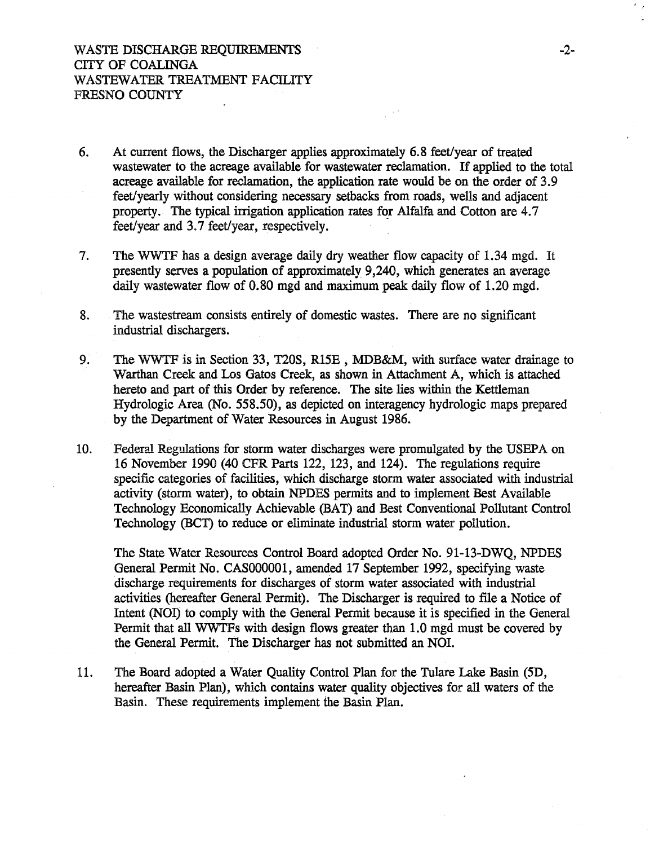- 6. At current flows, the Discharger applies approximately 6.8 feet/year of treated wastewater to the acreage available for wastewater reclamation. If applied to the total acreage available for reclamation, the application rate would be on the order of 3.9 feet/yearly without considering necessary setbacks from roads, wells and adjacent property. The typical irrigation application rates for Alfalfa and Cotton are 4.7 feet/year and 3.7 feet/year, respectively.
- 7. The WWTF has a design average daily dry weather flow capacity of 1.34 mgd. It presently serves a population of approximately 9,240, which generates an average daily wastewater flow of 0.80 mgd and maximum peak daily flow of 1.20 mgd.
- 8. The wastestream consists entirely of domestic wastes. There are no significant industrial dischargers.
- 9. The WWTF is in Section 33, T20S, R15E, MDB&M, with surface water drainage to Warthan Creek and Los Gatos Creek, as shown in Attachment A, which is attached hereto and part of this Order by reference. The site lies within the Kettleman Hydrologic Area (No. 558.50), as depicted on interagency hydrologic maps prepared by the Department of Water Resources in August 1986.
- 10. Federal Regulations for storm water discharges were promulgated by the USEPA on 16 November 1990 (40 CFR Parts 122, 123, and 124). The regulations require specific categories of facilities, which discharge storm water associated with industrial activity (storm water), to obtain NPDES permits and to implement Best Available Technology Economically Achievable (BAT) and Best Conventional Pollutant Control Technology (BCT) to reduce or eliminate industrial storm water pollution.

The State Water Resources Control Board adopted Order No. 91-13-DWQ, NPDES General Permit No. CAS000001, amended 17 September 1992, specifying waste discharge requirements for discharges of storm water associated with industrial activities (hereafter General Permit). The Discharger is required to file a Notice of Intent (NOI) to comply with the General Permit because it is specified in the General Permit that all WWTFs with design flows greater than 1.0 mgd must be covered by the General Permit. The Discharger has not submitted an NOI.

11. The Board adopted a Water Quality Control Plan for the Tulare Lake Basin (5D, hereafter Basin Plan), which contains water quality objectives for all waters of the Basin. These requirements implement the Basin Plan.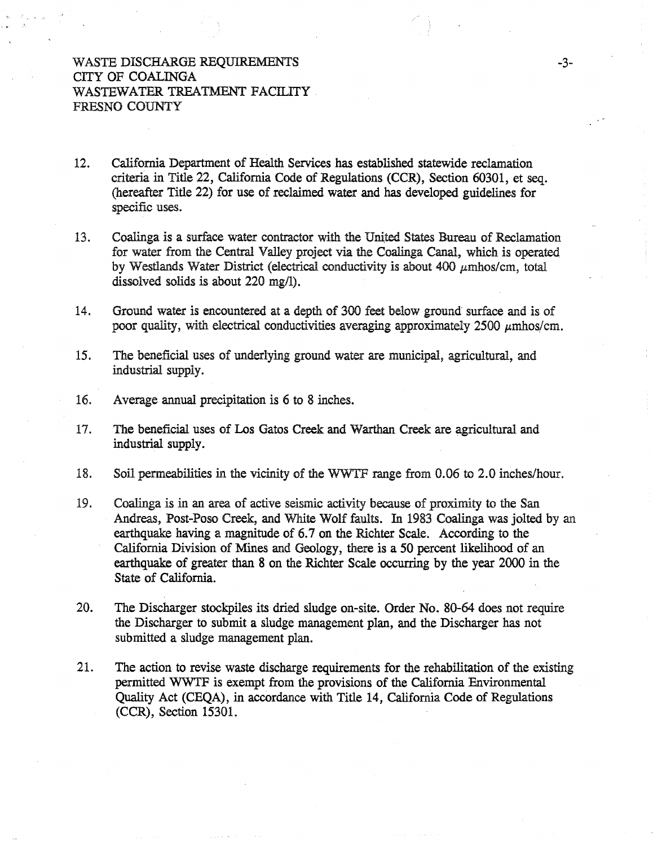## WASTE DISCHARGE REQUIREMENTS CITY OF COALINGA WASTEWATER TREATMENT FACILITY FRESNO COUNTY

- 12. California Department of Health Services has established statewide reclamation criteria in Title 22, California Code of Regulations (CCR), Section 60301, et seq. (hereafter Title 22) for use of reclaimed water and has developed guidelines for specific uses.
- 13. Coalinga is a surface water contractor with the United States Bureau of Reclamation for water from the Central Valley project via the Coalinga Canal, which is operated by Westlands Water District (electrical conductivity is about 400  $\mu$ mhos/cm, total dissolved solids is about 220 mg/1).
- 14. Ground water is encountered at a depth of 300 feet below ground surface and is of poor quality, with electrical conductivities averaging approximately  $2500 \mu m$ hos/cm.
- 15. The beneficial uses of underlying ground water are municipal, agricultural, and industrial supply.
- 16. Average annual precipitation is 6 to 8 inches.
- 17. The beneficial uses of Los Gatos Creek and Warthan Creek are agricultural and industrial supply.
- 18. Soil penneabilities in the vicinity of the WWTF range from 0.06 to 2.0 inches/hour.
- 19. Coalinga is in an area of active seismic activity because of proximity to the San Andreas, Post-Poso Creek, and White Wolf faults. In 1983 Coalinga was jolted by an earthquake having a magnitude of 6.7 on the Richter Scale. According to the California Division of Mines and Geology, there is a 50 percent likelihood of an earthquake of greater than 8 on the Richter Scale occurring by the year 2000 in the State of California.
- 20. The Discharger stockpiles its dried sludge on-site. Order No. 80-64 does not require the Discharger to submit a sludge management plan, and the Discharger has not submitted a sludge management plan.
- 21. The action to revise waste discharge requirements for the rehabilitation of the existing permitted WWTF is exempt from the provisions of the California Environmental Quality Act (CEQA), in accordance with Title 14, California Code of Regulations (CCR), Section 15301.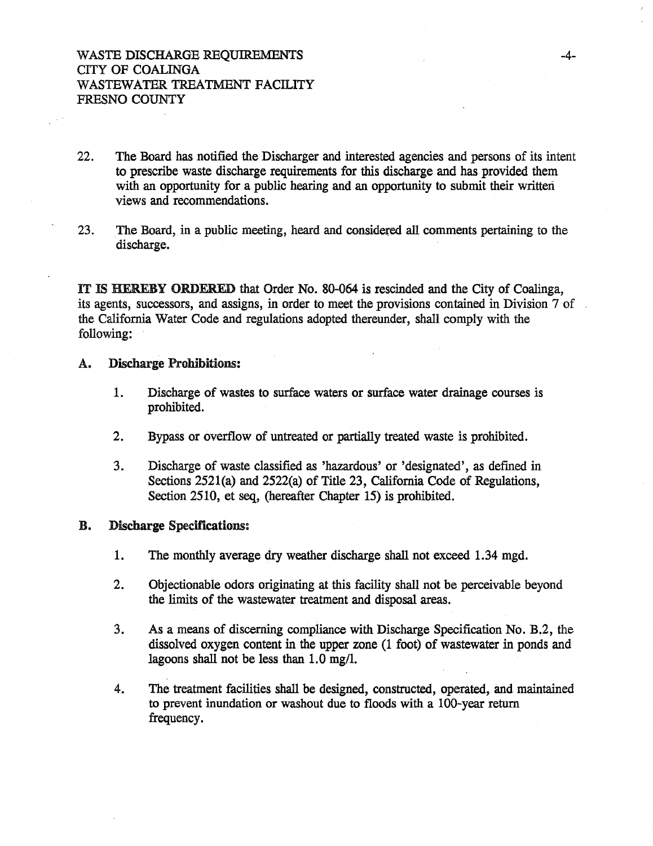- 22. The Board has notified the Discharger and interested agencies and persons of its intent to prescribe waste discharge requirements for this discharge and has provided them with an opportunity for a public hearing and an opportunity to submit their written views and recommendations.
- 23. The Board, in a public meeting, heard and considered all comments pertaining to the discharge.

IT IS HEREBY ORDERED that Order No. 80-064 is rescinded and the City of Coalinga, its agents, successors, and assigns, in order to meet the provisions contained in Division 7 of the California Water Code and regulations adopted thereunder, shall comply with the following:

### A. Discharge Prohibitions:

- 1. Discharge of wastes to surface waters or surface water drainage courses is prohibited.
- 2. Bypass or overflow of untreated or partially treated waste is prohibited.
- 3. Discharge of waste classified as 'hazardous' or 'designated', as defmed in Sections 2521(a) and 2522(a) of Title 23, California Code of Regulations, Section 2510, et seq, (hereafter Chapter 15) is prohibited.

#### B. Discharge Specifications:

- 1. The monthly average dry weather discharge shall not exceed 1.34 mgd.
- 2. Objectionable odors originating at this facility shall not be perceivable beyond the limits of the wastewater treatment and disposal areas.
- 3. As a means of discerning compliance with Discharge Specification No. B.2, the dissolved oxygen content in the upper zone (1 foot) of wastewater in ponds and lagoons shall not be less than  $1.0 \text{ mg/l}$ .
- 4. The treatment facilities shall be designed, constructed, operated, and maintained to prevent inundation or washout due to floods with a 100-year return frequency.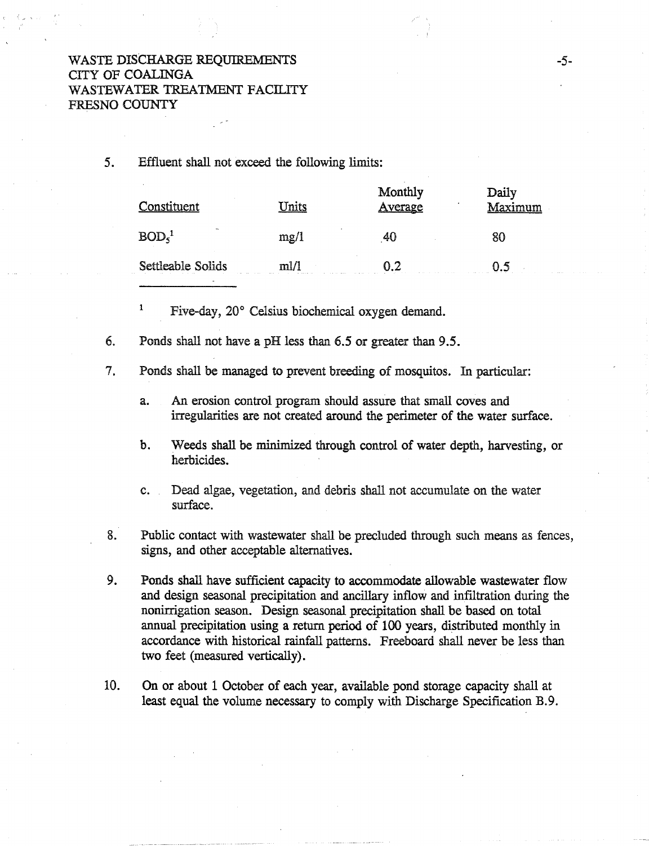## WASTE DISCHARGE REQUIREMENTS CITY OF COALINGA WASTEWATER TREATMENT FACILITY FRESNO COUNTY

5. Effluent shall not exceed the following limits:

| Constituent                | mite                             | Monthly<br>Average | Daily<br>Maximum |
|----------------------------|----------------------------------|--------------------|------------------|
| $\sim$<br>BOD <sub>5</sub> | $\overline{\phantom{a}}$<br>mg/1 | 41                 |                  |
| Settleable Solids<br>.     | mII<br>.                         | ດາ                 |                  |

1 Five-day, 20° Celsius biochemical oxygen demand.

6. Ponds shall not have a pH less than 6.5 or greater than 9.5.

7. Ponds shall be managed to prevent breeding of mosquitos. In particular:

- a. An erosion control program should assure that small coves and irregularities are not created around the perimeter of the water surface.
- b. Weeds shall be minimized through control of water depth, harvesting, or herbicides.
- c. Dead algae, vegetation, and debris shall not accumulate on the water surface.
- 8. Public contact with wastewater shall be precluded through such means as fences, signs, and other acceptable alternatives.
- 9. Ponds shall have sufficient capacity to accommodate allowable wastewater flow and design seasonal precipitation and ancillary inflow and infiltration during the nonirrigation season. Design seasonal precipitation shall be based on total annual precipitation using a return period of 100 years, distributed monthly in accordance with historical rainfall patterns. Freeboard shall never be less than two feet (measured vertically).
- 10. On or about 1 October of each year, available pond storage capacity shall at least equal the volume necessary to comply with Discharge Specification B.9.

-5-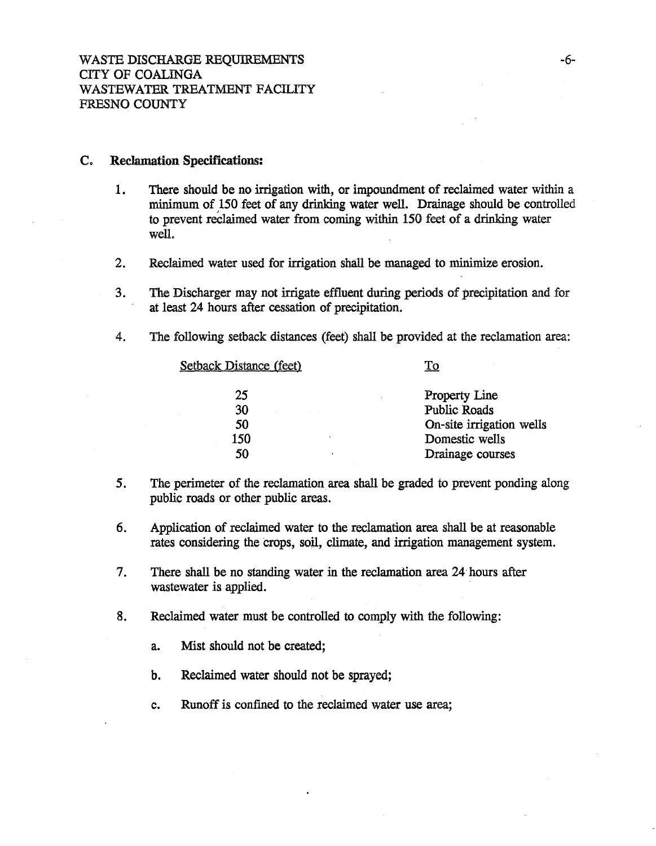### C. Reclamation Specifications:

- 1. There should be no irrigation with, or impoundment of reclaimed water within a minimum of 150 feet of any drinking water well. Drainage should be controlled to prevent reelaimed water from coming within 150 feet of a drinking water well.
- 2. Reclaimed water used for irrigation shall be managed to minimize erosion.
- 3. The Discharger may not irrigate effluent during periods of precipitation and for at least 24 hours after cessation of precipitation.
- 4. The following setback distances (feet) shall be provided at the reclamation area:

| <b>Setback Distance (feet)</b> | To                       |
|--------------------------------|--------------------------|
| 25                             | <b>Property Line</b>     |
| 30                             | <b>Public Roads</b>      |
| 50                             | On-site irrigation wells |
| 150<br>x                       | Domestic wells           |
| 50                             | Drainage courses         |
|                                |                          |

- 5. The perimeter of the reclamation area shall be graded to prevent ponding along public roads or other public areas.
- 6. Application of reclaimed water to the reclamation area shall be at reasonable rates considering the crops, soil, climate, and irrigation management system.
- 7. There shall be no standing water in the reclamation area 24· hours after wastewater is applied.
- 8. Reclaimed water must be controlled to comply with the following:
	- a. Mist should not be created;
	- b. Reclaimed water should not be sprayed;
	- c. Runoff is confmed to the reclaimed water use area;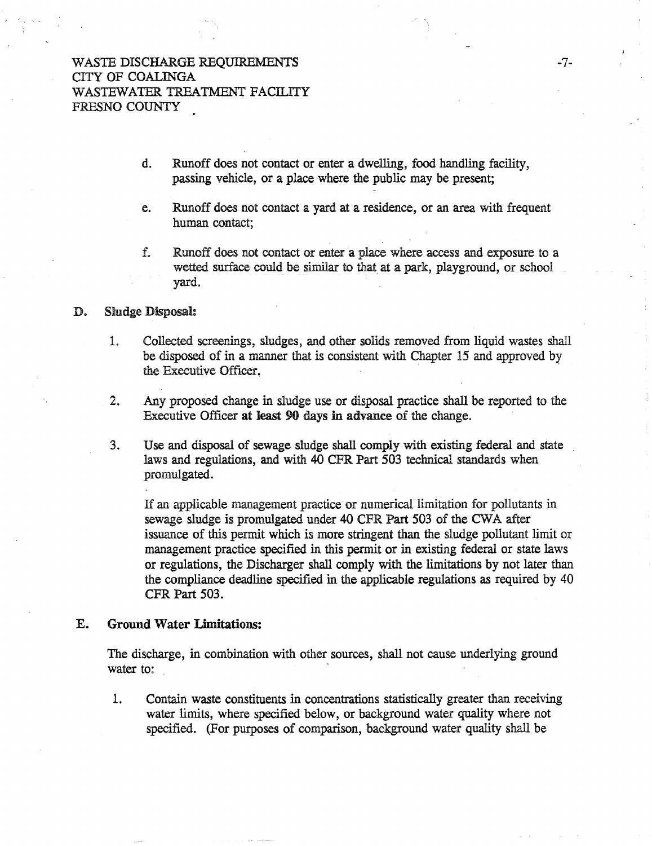- d. Runoff does not contact or enter a dwelling, food handling facility, passing vehicle, or a place where the public may be present;
- e. Runoff does not contact a yard at a residence, or an area with frequent human contact;
- f. Runoff does not contact or enter a place where access and exposure to a wetted surface could be similar to that at a park, playground, or school yard.

### D. Sludge Disposal:

- 1. Collected screenings, sludges, and other solids removed from liquid wastes shall be disposed of in a manner that is consistent with Chapter 15 and approved by the Executive Officer.
- 2. Any proposed change in sludge use or disposal practice shall be reported to the Executive Officer at least 90 days in advance of the change.
- 3. Use and disposal of sewage sludge shall comply with existing federal and state laws and regulations, and with 40 CFR Part 503 technical standards when promulgated.

If an applicable management practice or numerical limitation for pollutants in sewage sludge is promulgated under 40 CPR Part 503 of the CWA after issuance of this permit which is more stringent than the sludge pollutant limit or management practice specified in this permit or in existing federal or state laws or regulations, the Discharger shall comply with the limitations by not later than the compliance deadline specified in the applicable regulations as required by 40 CFR Part 503.

### E. Ground Water Limitations:

The discharge, in combination with other sources, shall not cause underlying ground water to:

1. Contain waste constituents in concentrations statistically greater than receiving water limits, where specified below, or background water quality where not specified. (For purposes of comparison, background water quality shall be

-7-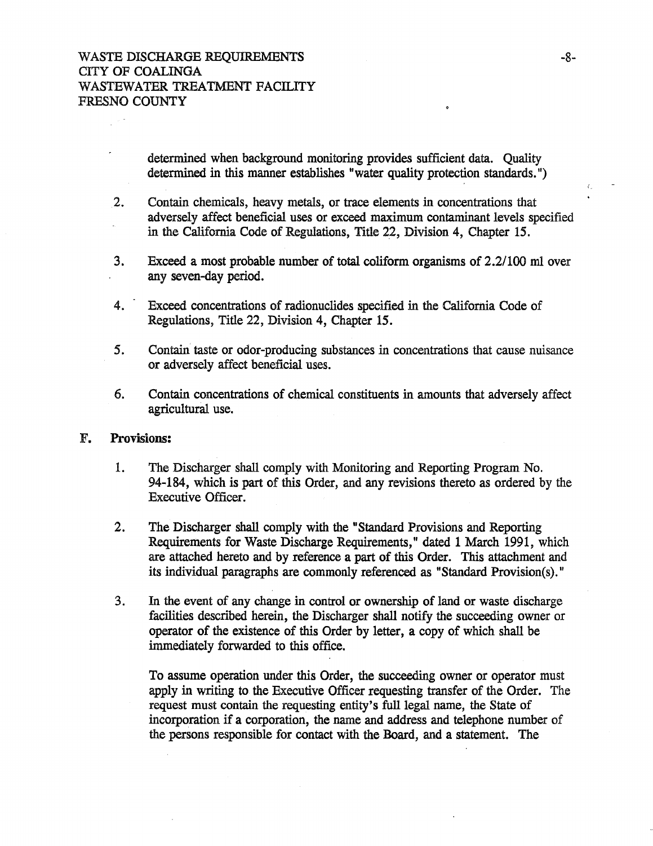determined when background monitoring provides sufficient data. Quality determined in this manner establishes "water quality protection standards.")

- 2. Contain chemicals, heavy metals, or trace elements in concentrations that adversely affect beneficial uses or exceed maximum contaminant levels specified in the California Code of Regulations, Title 22, Division 4, Chapter 15.
- 3. Exceed a most probable number of total coliform organisms of 2.2/100 m1 over any seven-day period.
- 4. Exceed concentrations of radionuclides specified in the California Code of Regulations, Title 22, Division 4, Chapter 15.
- *5.* Contain taste or odor-producing substances in concentrations that cause nuisance or adversely affect beneficial uses.
- 6. Contain concentrations of chemical constituents in amounts that adversely affect agricultural use.

### F. Provisions:

- 1. The Discharger shall comply with Monitoring and Reporting Program No. 94-184, which is part of this Order, and any revisions thereto as ordered by the Executive Officer.
- 2. The Discharger shall comply with the ''Standard Provisions and Reporting Requirements for Waste Discharge Requirements," dated 1 March 1991, which are attached hereto and by reference a part of this Order. This attachment and its individual paragraphs are commonly referenced as "Standard Provision(s)."
- 3. In the event of any change in control or ownership of land or waste discharge facilities described herein, the Discharger shall notify the succeeding owner or operator of the existence of this Order by letter, a copy of which shall be immediately forwarded to this office.

To assume operation under this Order, the succeeding owner or operator must apply in writing to the Executive Officer requesting transfer of the Order. The request must contain the requesting entity's full legal name, the State of incorporation if a corporation, the name and address and telephone number of the persons responsible for contact with the Board, and a statement. The

 $\epsilon$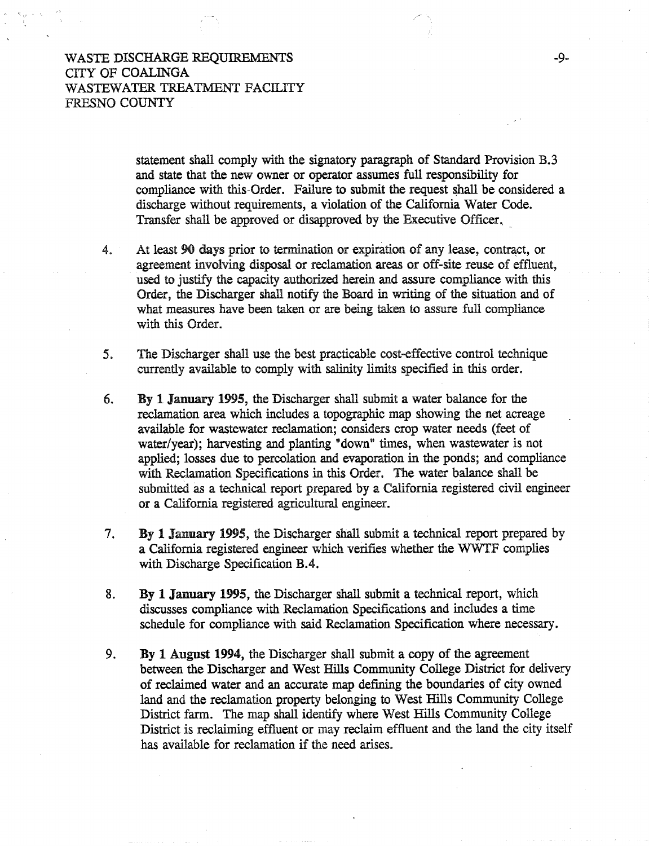WASTE DISCHARGE REQUIREMENTS CITY OF COALINGA WASTEWATER TREATMENT FACILITY FRESNO COUNTY

> statement shall comply with the signatory paragraph of Standard Provision B.3 and state that the new owner or operator assumes full responsibility for compliance with this-Order. Failure to submit the request shall be considered a discharge without requirements, a violation of the California Water Code. Transfer shall be approved or disapproved by the Executive Officer,

- 4. At least 90 days prior to termination or expiration of any lease, contract, or agreement involving disposal or reclamation areas or off-site reuse of effluent, used to justify the capacity authorized herein and assure compliance with this Order, the Discharger shall notify the Board in writing of the situation and of what measures have been taken or are being taken to assure full compliance with this Order.
- 5. The Discharger shall use the best practicable cost-effective control technique currently available to comply with salinity limits specified in this order.
- 6. By 1 January 1995, the Discharger shall submit a water balance for the reclamation area which includes a topographic map showing the net acreage available for wastewater reclamation; considers crop water needs (feet of water/year); harvesting and planting "down" times, when wastewater is not applied; losses due to percolation and evaporation in the ponds; and compliance with Reclamation Specifications in this Order. The water balance shall be submitted as a technical report prepared by a California registered civil engineer or a California registered agricultural engineer.
- 7. By 1 January 1995, the Discharger shall submit a technical report prepared by a California registered engineer which verifies whether the WWTF complies with Discharge Specification B.4.
- 8. By 1 January 1995, the Discharger shall submit a technical report, which discusses compliance with Reclamation Specifications and includes a time schedule for compliance with said Reclamation Specification where necessary.
- 9. By 1 August 1994, the Discharger shall submit a copy of the agreement between the Discharger and West Hills Community College District for delivery of reclaimed water and an accurate map defming the boundaries of city owned land and the reclamation property belonging to West Hills Community College District farm. The map shall identify where West Hills Community College District is reclaiming effluent or may reclaim effluent and the land the city itself has available for reclamation if the need arises.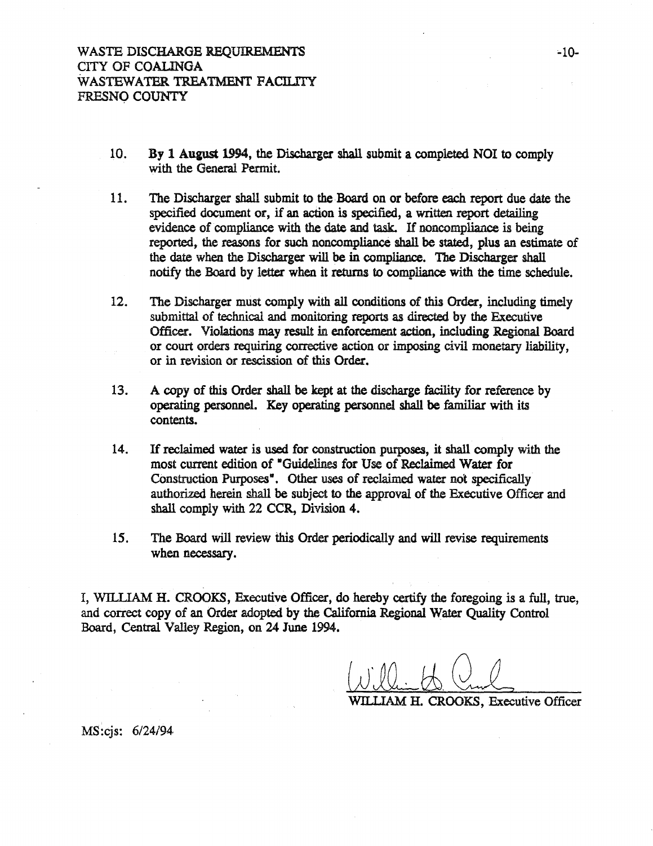- 10. By 1 August 1994, the Discharger shall submit a completed NOI to comply with the General Permit.
- 11. The Discharger shall submit to the.Board on or before each report due date the specified document or, if an action is specified, a written report detailing evidence of compliance with the date and task. If noncompliance is being reported, the reasons for such noncompliance shall be stated, plus an estimate of the date when the Discharger will be in compliance. The Discharger shall notify the Board by letter when it returns to compliance with the time schedule.
- 12. The Discharger must comply with all conditions of this Order, including timely submittal of technical and monitoring reports as directed by the Executive Officer. Violations may result in enforcement action, including Regional Board or court orders requiring corrective action or imposing civil monetary liability, or in revision or rescission of this Order.
- 13. A copy of this Order shall be kept at the discharge facility for reference by operating personnel. Key operating personnel shall be familiar with its contents.
- 14. If reclaimed water is used for construction purposes, it shall comply with the most current edition of •Guidelines for Use of Reclaimed Water for Construction Purposes<sup>\*</sup>. Other uses of reclaimed water not specifically authorized herein shall be subject to the approval of the Executive Officer and shall comply with 22 CCR, Division 4.
- 15. The Board will review this Order periodically and will revise requirements when necessary.

I, WILLIAM H. CROOKS, Executive Officer, do hereby certify the foregoing is a full, true, and correct copy of an Order adopted by the California Regional Water Quality Control Board, Central Valley Region, on 24 June 1994.

WILLIAM H. CROOKS, Executive Officer

MS:cjs: 6/24/94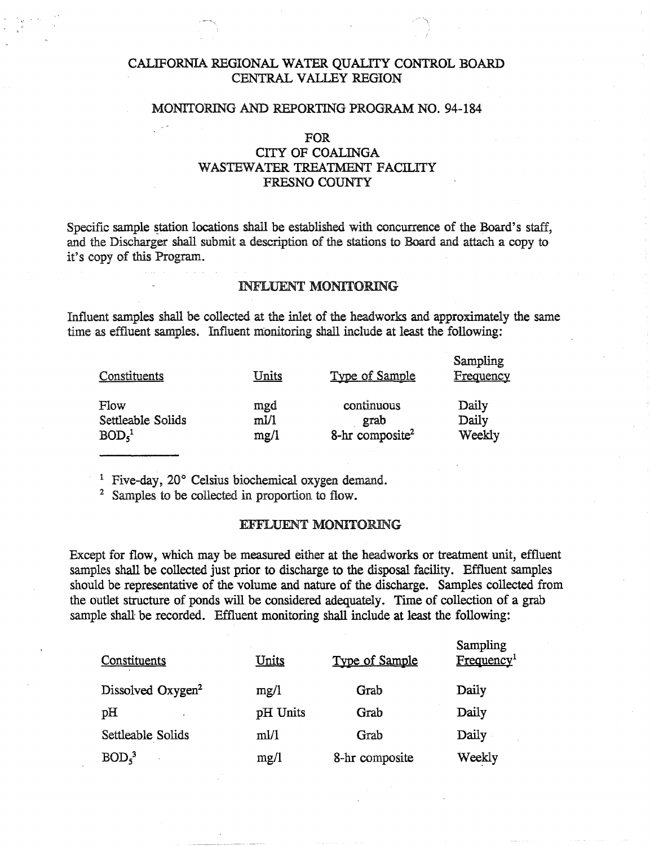## CALIFORNIA REGIONAL WATER QUALITY CONTROL BOARD CENTRAL VALLEY REGION

### MONITORING AND REPORTING PROGRAM NO. 94-184

#### FOR

## CITY OF COALINGA WASTEWATER TREATMENT FACILITY FRESNO COUNTY

Specific sample station locations shall be established with concurrence of the Board's staff, and the Discharger shall submit a description of the stations to Board and attach a copy to it's copy of this Program.

### INFLUENT MONITORING

Influent samples shall be collected at the inlet of the headworks and approximately the same time as effluent samples. Influent monitoring shall include at least the following:

| Constituents                  | <b>Units</b> | <b>Type of Sample</b>       | Sampling<br>Frequency |
|-------------------------------|--------------|-----------------------------|-----------------------|
| Flow                          | mgd          | continuous                  | Daily                 |
| Settleable Solids             | m1/1         | grab                        | Daily                 |
| BOD <sub>5</sub> <sup>1</sup> | mg/1         | 8-hr composite <sup>2</sup> | Weekly                |

1 Five-day, 20° Celsius biochemical oxygen demand.

2 Samples to be collected in proportion to flow.

#### EFFLUENT MONITORING

Except for flow, which may be measured either at the headworks or treatment unit, effluent samples shall be collected just prior to discharge to the disposal facility. Effluent samples should be representative of the volume and nature of the discharge. Samples collected from the outlet structure of ponds will be considered adequately. Time of collection of a grab sample shall be recorded. Effluent monitoring shall include at least the following:

| Constituents                  | <u>Units</u> | <b>Type of Sample</b> | Sampling<br>Frequency <sup>1</sup> |
|-------------------------------|--------------|-----------------------|------------------------------------|
| Dissolved Oxygen <sup>2</sup> | mg/1         | Grab                  | Daily                              |
| pH                            | pH Units     | Grab                  | Daily                              |
| Settleable Solids             | m1/1         | Grab                  | Daily                              |
| BOD <sub>5</sub>              | mg/1         | 8-hr composite        | Weekly                             |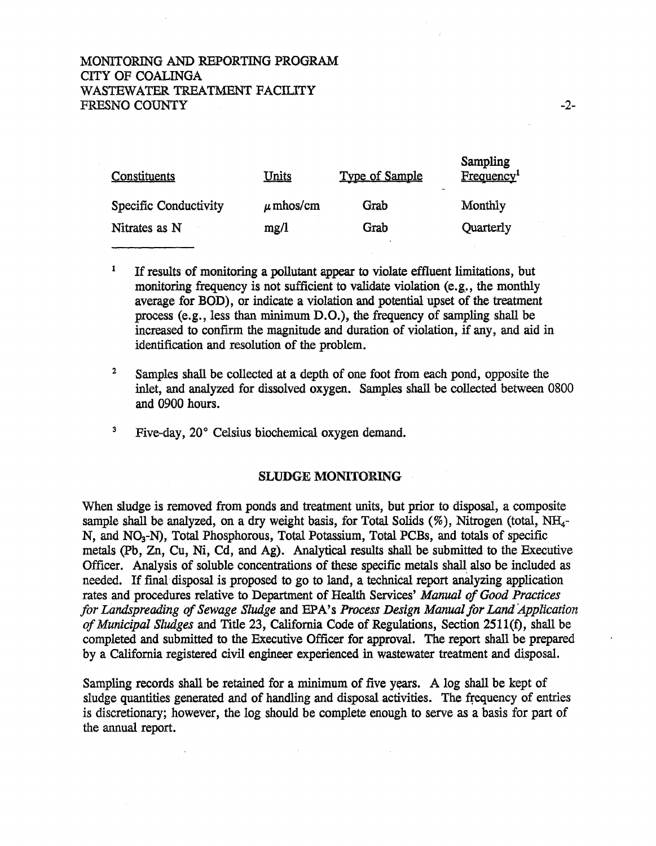## MONITORING AND REPORTING PROGRAM CITY OF COALINGA WASTEWATER TREATMENT FACILITY FRESNO COUNTY

| Constituents          | <u>Units</u>  | <b>Type of Sample</b> | <b>Sampling</b><br>Frequency <sup>1</sup> |
|-----------------------|---------------|-----------------------|-------------------------------------------|
| Specific Conductivity | $\mu$ mhos/cm | Grab                  | Monthly                                   |
| Nitrates as N         | mg/l          | Grab                  | Quarterly                                 |

- <sup>1</sup> If results of monitoring a pollutant appear to violate effluent limitations, but monitoring frequency is not sufficient to validate violation (e.g., the monthly average for BOD), or indicate a violation and potential upset of the treatment process (e.g., less than minimum D.O.), the frequency of sampling shall be increased to confirm the magnitude and duration of violation, if any, and aid in identification and resolution of the problem.
- <sup>2</sup> Samples shall be collected at a depth of one foot from each pond, opposite the inlet, and analyzed for dissolved oxygen. Samples shall be collected between 0800 and 0900 hours.
- <sup>3</sup> Five-day, 20° Celsius biochemical oxygen demand.

### SLUDGE MONITORING

When sludge is removed from ponds and treatment units, but prior to disposal, a composite sample shall be analyzed, on a dry weight basis, for Total Solids  $(\%)$ , Nitrogen (total, NH<sub>4</sub>-N, and NO<sub>3</sub>-N), Total Phosphorous, Total Potassium, Total PCBs, and totals of specific metals (Pb, Zn, Cu, Ni, Cd, and Ag). Analytical results shall be submitted to the Executive Officer. Analysis of soluble concentrations of these specific metals shall also be included as needed. If final disposal is proposed to go to land, a technical report analyzing application rates and procedures relative to Department of Health Services' *Manual of Good Practices for Landspreading of Sewage Sludge* and EPA's *Process Design Manual for Land Application of Municipal Sludges* and Title 23, California Code of Regulations, Section 2511(f), shall be completed and submitted to the Executive Officer for approval. The report shall be prepared by a California registered civil engineer experienced in wastewater treatment and disposal.

Sampling records shall be retained for a minimum of five years. A log shall be kept of sludge quantities generated and of handling and disposal activities. The frequency of entries is discretionary; however, the log should be complete enough to serve as a basis for part of the annual report.

 $S$ aman $1$ ing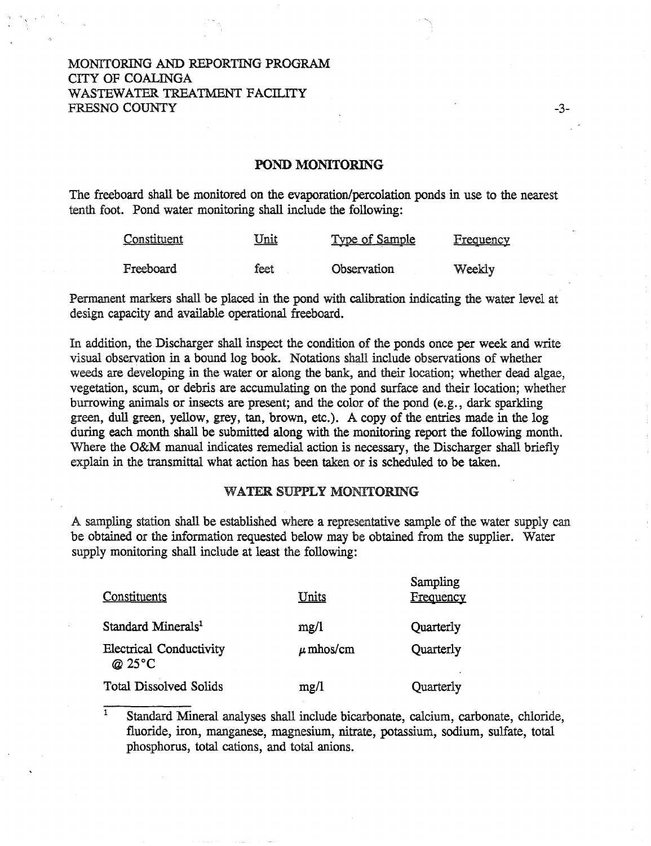## MONITORING AND REPORTING PROGRAM CITY OF COALINGA WASTEWATER TREATMENT FACILITY FRESNO COUNTY

### POND MONITORING

-3-

The freeboard shall be monitored on the evaporation/percolation ponds in use to the nearest tenth foot. Pond water monitoring shall include the following:

| Constituent | <u>Unit</u> | <u>Type of Sample</u> | <b>Frequency</b> |
|-------------|-------------|-----------------------|------------------|
| Freeboard   | feet        | Observation           | Weekly           |

Permanent markers shall be placed in the pond with calibration indicating the water level at design capacity and available operational freeboard.

In addition, the Discharger shall inspect the condition of the ponds once per week and write visual observation in a bound log book. Notations shall include observations of whether weeds are developing in the water or along the bank, and their location; whether dead algae, vegetation, scum, or debris are accumulating on the pond surface and their location; whether burrowing animals or insects are present; and the color of the pond (e.g. , dark sparkling green, dull green, yellow, grey, tan, brown, etc.). A copy of the entries made in the log during each month shall be submitted along with the monitoring report the following month. Where the O&M manual indicates remedial action is necessary, the Discharger shall briefly explain in the transmittal what action has been taken or is scheduled to be taken.

### WATER SUPPLY MONITORING

A sampling station shall be established where a representative sample of the water supply can be obtained or the information requested below may be obtained from the supplier. Water supply monitoring shall include at least the following:

| <b>Constituents</b>                     | Units         | Sampling<br>Frequency |
|-----------------------------------------|---------------|-----------------------|
| Standard Minerals <sup>1</sup>          | mg/l          | Quarterly             |
| <b>Electrical Conductivity</b><br>@25°C | $\mu$ mhos/cm | Quarterly             |
| <b>Total Dissolved Solids</b>           | mg/1          | Quarterly             |

1 Standard Mineral analyses shall include bicarbonate, calcium, carbonate, chloride, fluoride, iron, manganese, magnesium, nitrate, potassium, sodium, sulfate, total phosphorus, total cations, and total anions.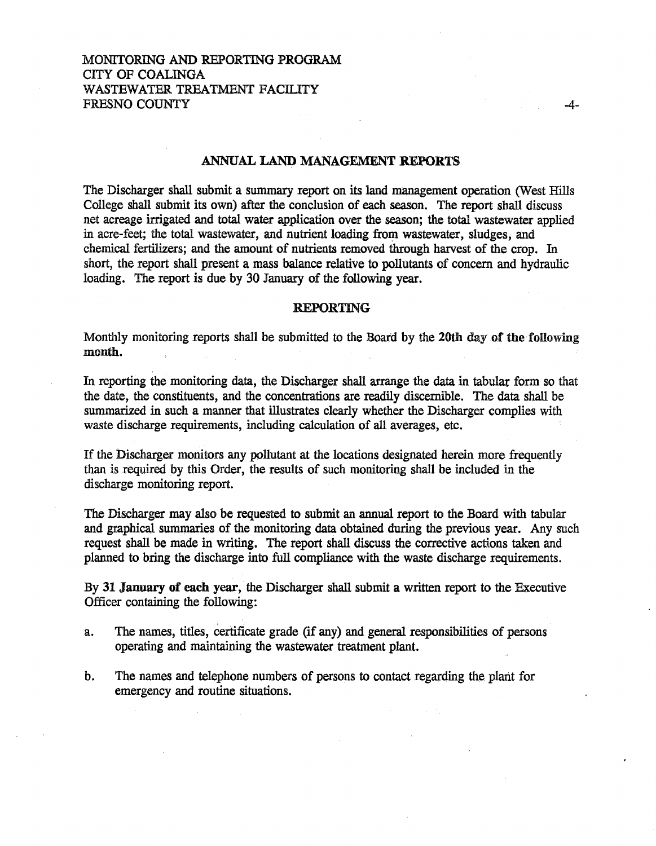## MONITORING AND REPORTING PROGRAM CITY OF COALINGA WASTEWATER TREATMENT FACILITY FRESNO COUNTY

### ANNUAL LAND MANAGEMENT REPORTS

The Discharger shall submit a summary report on its land management operation (West Hills College shall submit its own) after the conclusion of each season. The report shall discuss net acreage irrigated and total water application over the season; the total wastewater applied in acre-feet; the total wastewater, and nutrient loading from wastewater, sludges, and chemical fertilizers; and the amount of nutrients removed through harvest of the crop. In short, the report shall present a mass balance relative to pollutants of concern and hydraulic loading. The report is due by 30 January of the following year.

#### REPORTING

Monthly monitoring reports shall be submitted to the Board by the 20th day of the following month.

In reporting the monitoring data, the Discharger shall arrange the data in tabular form so that the date, the constituents, and the concentrations are readily discernible. The data shall be summarized in such a manner that illustrates clearly whether the Discharger complies with waste discharge requirements, including calculation of all averages, etc.

If the Discharger monitors any pollutant at the locations designated herein more frequently than is required by this Order, the results of such monitoring shall be included in the discharge monitoring report.

The Discharger may also be requested to submit an annual report to the Board with tabular and graphical summaries of the monitoring data obtained during the previous year. Any such request shall be made in writing. The report shall discuss the corrective actions taken and planned to bring the discharge into full compliance with the waste discharge requirements.

By 31 January of each year, the Discharger shall submit a written report to the Executive Officer containing the following:

- a. The names, titles, certificate grade (if any) and general responsibilities of persons operating and maintaining the wastewater treatment plant.
- b. The names and telephone numbers of persons to contact regarding the plant for emergency and routine situations.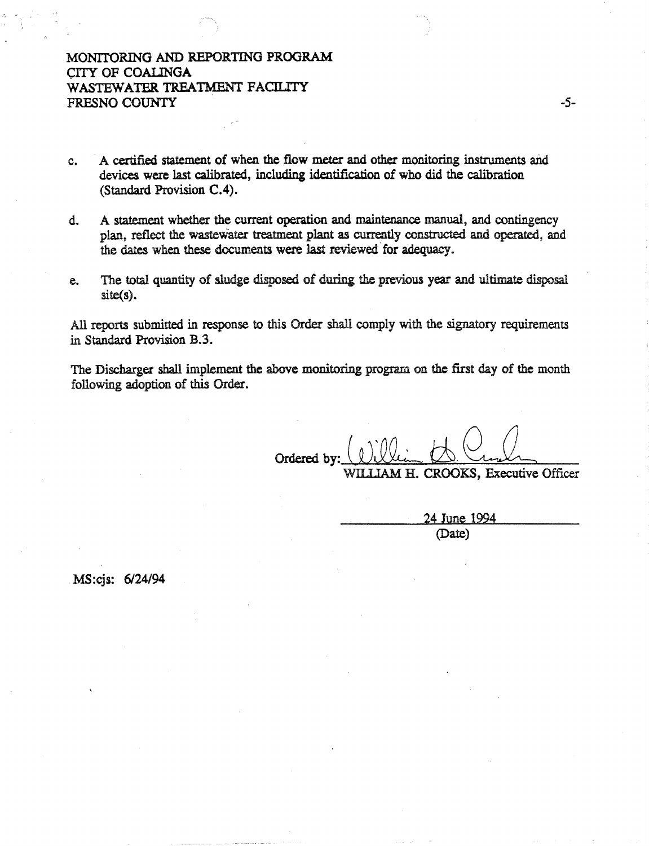# MONITORING AND REPORTING PROGRAM CITY OF COALINGA WASTEWATER TREATMENT FACILITY FRESNO COUNTY

- c. A certified statement of when the flow meter and other monitoring instruments and devices were last calibrated, including identification of who did the calibration (Standard Provision C.4).
- d. A statement whether the current operation and maintenance manual, and contingency plan, reflect the wastewater treatment plant as currently constructed and operated, and the dates when these documents were last reviewed for adequacy.
- e. The total quantity of sludge disposed of during the previous year and ultimate disposal site(s).

All reports submitted in response to this Order shall comply with the signatory requirements in Standard Provision B.3.

The Discharger shall implement the above monitoring program on the first day of the month following adoption of this Order.

Ordered by:  $\overline{(\Omega \Omega_{i-1})}$ H. CROOKS, Executive Officer

Wll.llAM

-5-

24 June 1994 (Date)

MS:cjs: 6/24/94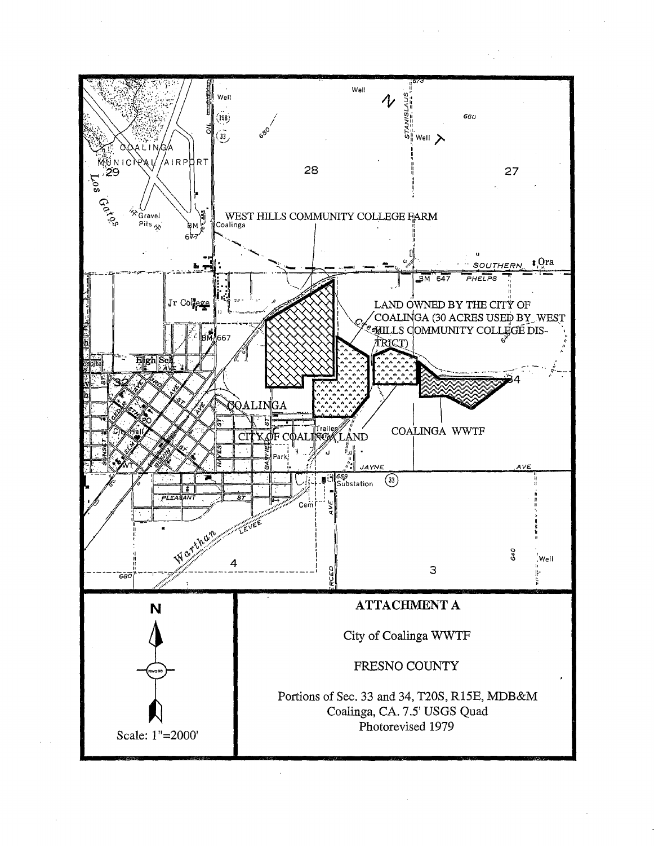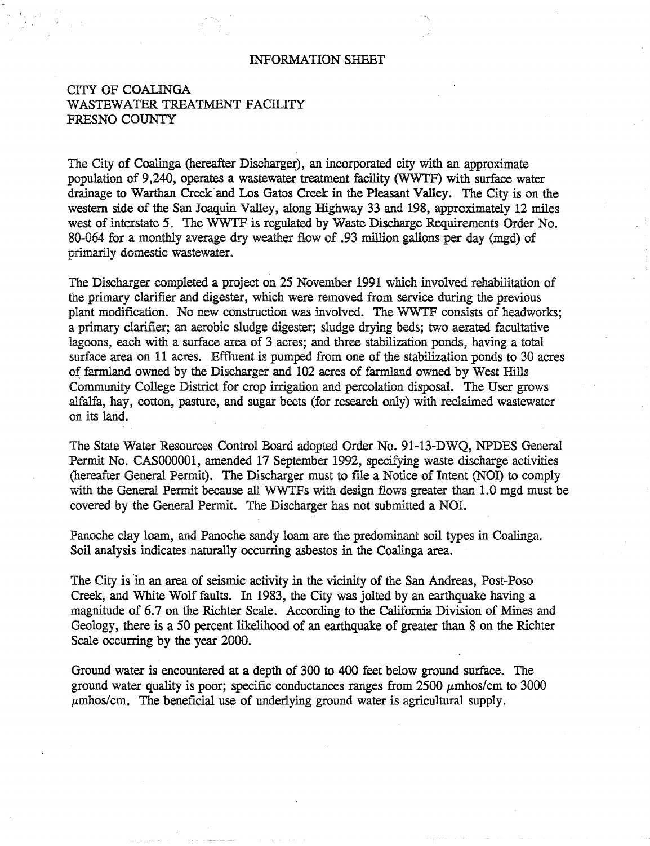#### INFORMATION SHEET

## CITY OF COALINGA WASTEWATER TREATMENT FACILITY FRESNO COUNTY

The City of Coalinga (hereafter Discharger), an incorporated city with an approximate population of 9 ,240, operates a wastewater treatment facility (WWTF) with surface water drainage to Warthan Creek and Los Gatos Creek in the Pleasant Valley. The City is on the western side of the San Joaquin Valley, along ffighway 33 and 198, approximately 12 miles west of interstate 5. The WWTF is regulated by Waste Discharge Requirements Order No. 80-064 for a monthly average dry weather flow of .93 million gallons per day (mgd) of primarily domestic wastewater.

The Discharger completed a project on 25 November 1991 which involved rehabilitation of the primary clarifier and digester, which were removed from service during the previous plant modification. No new construction was involved. The WWTF consists of headworks; a primary clarifier; an aerobic sludge digester; sludge drying beds; two aerated facultative lagoons, each with a surface area of 3 acres; and three stabilization ponds, having a total surface area on 11 acres. Effluent is pumped from one of the stabilization ponds to 30 acres of farmland owned by the Discharger and 102 acres of farmland owned by West Hills Community College District for crop irrigation and percolation disposal. The User grows alfalfa, hay, cotton, pasture, and sugar beets (for research only) with reclaimed wastewater on its land.

The State Water Resources Control Board adopted Order No. 91-13-DWQ, NPDES General Permit No. CAS000001, amended 17 September 1992, specifying waste discharge activities (hereafter General Permit). The Discharger must to file a Notice of Intent (NOI) to comply with the General Permit because all WWTFs with design flows greater than 1.0 mgd must be covered by the General Permit. The Discharger has not submitted a NOI.

Panoche clay loam, and Panoche sandy loam are the predominant soil types in Coalinga. Soil analysis indicates naturally occurring asbestos in the Coalinga area.

The City is in an area of seismic activity in the vicinity of the San Andreas, Post-Poso Creek, and White Wolf faults. In 1983, the City was jolted by an earthquake having a magnitude of 6.7 on the Richter Scale. According to the California Division of Mines and Geology, there is a 50 percent likelihood of an earthquake of greater than 8 on the Richter Scale occurring by the year 2000.

Ground water is encountered at a depth of 300 to 400 feet below ground surface. The ground water quality is poor; specific conductances ranges from  $2500 \mu m$ hos/ cm to 3000  $\mu$ mhos/cm. The beneficial use of underlying ground water is agricultural supply.